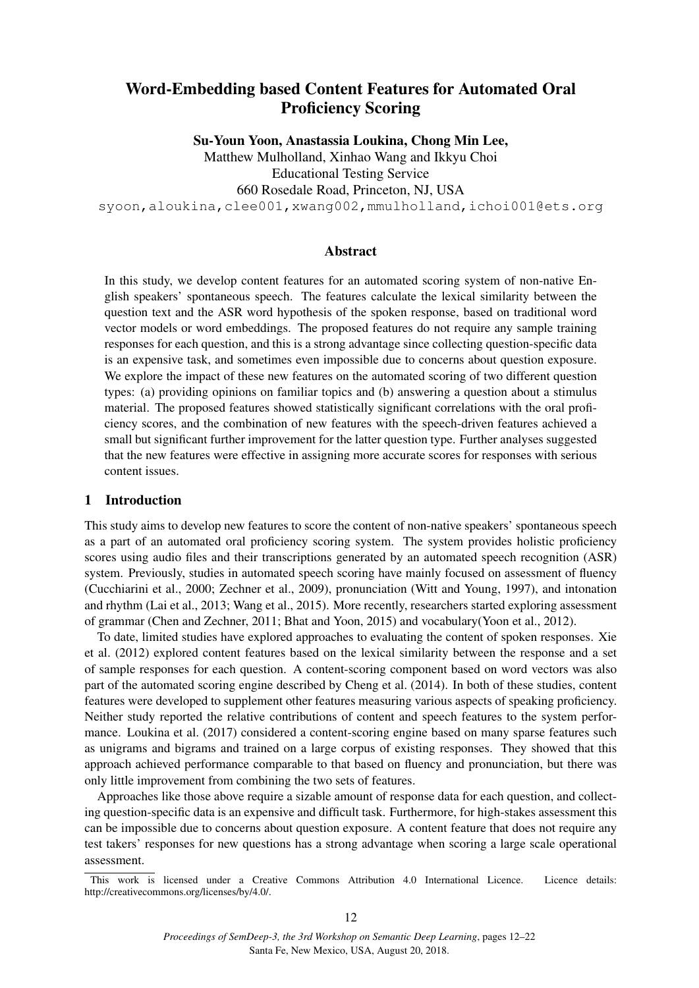# Word-Embedding based Content Features for Automated Oral Proficiency Scoring

Su-Youn Yoon, Anastassia Loukina, Chong Min Lee,

Matthew Mulholland, Xinhao Wang and Ikkyu Choi Educational Testing Service

660 Rosedale Road, Princeton, NJ, USA

syoon,aloukina,clee001,xwang002,mmulholland,ichoi001@ets.org

# Abstract

In this study, we develop content features for an automated scoring system of non-native English speakers' spontaneous speech. The features calculate the lexical similarity between the question text and the ASR word hypothesis of the spoken response, based on traditional word vector models or word embeddings. The proposed features do not require any sample training responses for each question, and this is a strong advantage since collecting question-specific data is an expensive task, and sometimes even impossible due to concerns about question exposure. We explore the impact of these new features on the automated scoring of two different question types: (a) providing opinions on familiar topics and (b) answering a question about a stimulus material. The proposed features showed statistically significant correlations with the oral proficiency scores, and the combination of new features with the speech-driven features achieved a small but significant further improvement for the latter question type. Further analyses suggested that the new features were effective in assigning more accurate scores for responses with serious content issues.

# 1 Introduction

This study aims to develop new features to score the content of non-native speakers' spontaneous speech as a part of an automated oral proficiency scoring system. The system provides holistic proficiency scores using audio files and their transcriptions generated by an automated speech recognition (ASR) system. Previously, studies in automated speech scoring have mainly focused on assessment of fluency (Cucchiarini et al., 2000; Zechner et al., 2009), pronunciation (Witt and Young, 1997), and intonation and rhythm (Lai et al., 2013; Wang et al., 2015). More recently, researchers started exploring assessment of grammar (Chen and Zechner, 2011; Bhat and Yoon, 2015) and vocabulary(Yoon et al., 2012).

To date, limited studies have explored approaches to evaluating the content of spoken responses. Xie et al. (2012) explored content features based on the lexical similarity between the response and a set of sample responses for each question. A content-scoring component based on word vectors was also part of the automated scoring engine described by Cheng et al. (2014). In both of these studies, content features were developed to supplement other features measuring various aspects of speaking proficiency. Neither study reported the relative contributions of content and speech features to the system performance. Loukina et al. (2017) considered a content-scoring engine based on many sparse features such as unigrams and bigrams and trained on a large corpus of existing responses. They showed that this approach achieved performance comparable to that based on fluency and pronunciation, but there was only little improvement from combining the two sets of features.

Approaches like those above require a sizable amount of response data for each question, and collecting question-specific data is an expensive and difficult task. Furthermore, for high-stakes assessment this can be impossible due to concerns about question exposure. A content feature that does not require any test takers' responses for new questions has a strong advantage when scoring a large scale operational assessment.

This work is licensed under a Creative Commons Attribution 4.0 International Licence. Licence details: http://creativecommons.org/licenses/by/4.0/.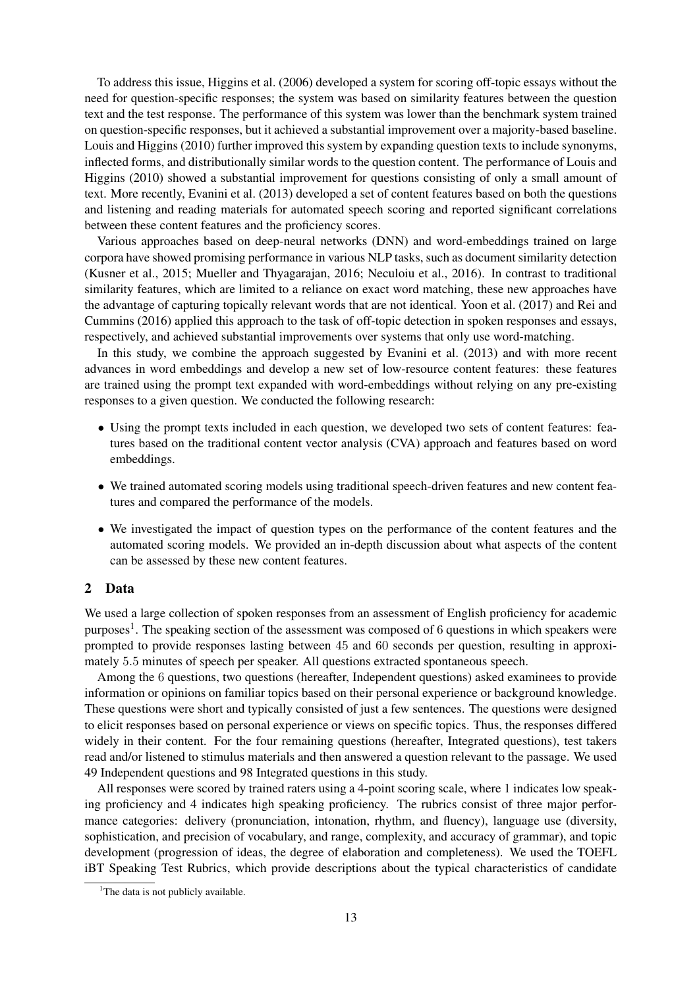To address this issue, Higgins et al. (2006) developed a system for scoring off-topic essays without the need for question-specific responses; the system was based on similarity features between the question text and the test response. The performance of this system was lower than the benchmark system trained on question-specific responses, but it achieved a substantial improvement over a majority-based baseline. Louis and Higgins (2010) further improved this system by expanding question texts to include synonyms, inflected forms, and distributionally similar words to the question content. The performance of Louis and Higgins (2010) showed a substantial improvement for questions consisting of only a small amount of text. More recently, Evanini et al. (2013) developed a set of content features based on both the questions and listening and reading materials for automated speech scoring and reported significant correlations between these content features and the proficiency scores.

Various approaches based on deep-neural networks (DNN) and word-embeddings trained on large corpora have showed promising performance in various NLP tasks, such as document similarity detection (Kusner et al., 2015; Mueller and Thyagarajan, 2016; Neculoiu et al., 2016). In contrast to traditional similarity features, which are limited to a reliance on exact word matching, these new approaches have the advantage of capturing topically relevant words that are not identical. Yoon et al. (2017) and Rei and Cummins (2016) applied this approach to the task of off-topic detection in spoken responses and essays, respectively, and achieved substantial improvements over systems that only use word-matching.

In this study, we combine the approach suggested by Evanini et al. (2013) and with more recent advances in word embeddings and develop a new set of low-resource content features: these features are trained using the prompt text expanded with word-embeddings without relying on any pre-existing responses to a given question. We conducted the following research:

- Using the prompt texts included in each question, we developed two sets of content features: features based on the traditional content vector analysis (CVA) approach and features based on word embeddings.
- We trained automated scoring models using traditional speech-driven features and new content features and compared the performance of the models.
- We investigated the impact of question types on the performance of the content features and the automated scoring models. We provided an in-depth discussion about what aspects of the content can be assessed by these new content features.

# 2 Data

We used a large collection of spoken responses from an assessment of English proficiency for academic purposes<sup>1</sup>. The speaking section of the assessment was composed of 6 questions in which speakers were prompted to provide responses lasting between 45 and 60 seconds per question, resulting in approximately 5.5 minutes of speech per speaker. All questions extracted spontaneous speech.

Among the 6 questions, two questions (hereafter, Independent questions) asked examinees to provide information or opinions on familiar topics based on their personal experience or background knowledge. These questions were short and typically consisted of just a few sentences. The questions were designed to elicit responses based on personal experience or views on specific topics. Thus, the responses differed widely in their content. For the four remaining questions (hereafter, Integrated questions), test takers read and/or listened to stimulus materials and then answered a question relevant to the passage. We used 49 Independent questions and 98 Integrated questions in this study.

All responses were scored by trained raters using a 4-point scoring scale, where 1 indicates low speaking proficiency and 4 indicates high speaking proficiency. The rubrics consist of three major performance categories: delivery (pronunciation, intonation, rhythm, and fluency), language use (diversity, sophistication, and precision of vocabulary, and range, complexity, and accuracy of grammar), and topic development (progression of ideas, the degree of elaboration and completeness). We used the TOEFL iBT Speaking Test Rubrics, which provide descriptions about the typical characteristics of candidate

<sup>&</sup>lt;sup>1</sup>The data is not publicly available.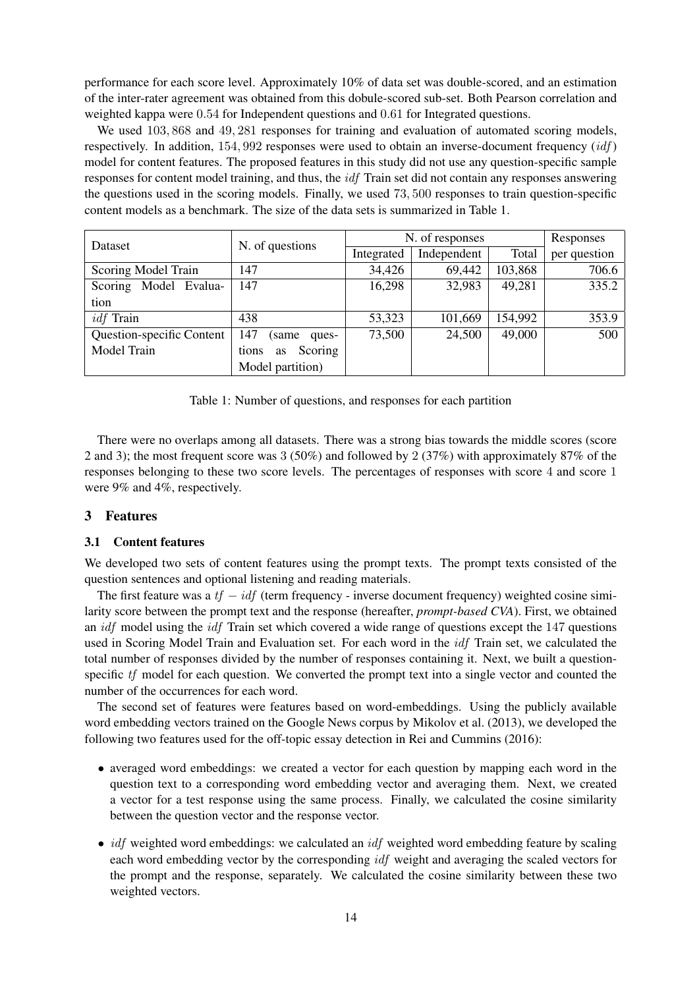performance for each score level. Approximately 10% of data set was double-scored, and an estimation of the inter-rater agreement was obtained from this dobule-scored sub-set. Both Pearson correlation and weighted kappa were 0.54 for Independent questions and 0.61 for Integrated questions.

We used  $103,868$  and  $49,281$  responses for training and evaluation of automated scoring models, respectively. In addition,  $154,992$  responses were used to obtain an inverse-document frequency  $(idf)$ model for content features. The proposed features in this study did not use any question-specific sample responses for content model training, and thus, the *idf* Train set did not contain any responses answering the questions used in the scoring models. Finally, we used 73, 500 responses to train question-specific content models as a benchmark. The size of the data sets is summarized in Table 1.

| Dataset                   | N. of questions        | N. of responses | Responses   |         |              |
|---------------------------|------------------------|-----------------|-------------|---------|--------------|
|                           |                        | Integrated      | Independent | Total   | per question |
| Scoring Model Train       | 147                    | 34,426          | 69,442      | 103,868 | 706.6        |
| Scoring Model Evalua-     | 147                    | 16,298          | 32,983      | 49,281  | 335.2        |
| tion                      |                        |                 |             |         |              |
| <i>idf</i> Train          | 438                    | 53,323          | 101,669     | 154,992 | 353.9        |
| Question-specific Content | 147<br>(same)<br>ques- | 73,500          | 24,500      | 49,000  | 500          |
| Model Train               | Scoring<br>tions<br>as |                 |             |         |              |
|                           | Model partition)       |                 |             |         |              |

Table 1: Number of questions, and responses for each partition

There were no overlaps among all datasets. There was a strong bias towards the middle scores (score 2 and 3); the most frequent score was 3 (50%) and followed by 2 (37%) with approximately 87% of the responses belonging to these two score levels. The percentages of responses with score 4 and score 1 were 9% and 4%, respectively.

# 3 Features

# 3.1 Content features

We developed two sets of content features using the prompt texts. The prompt texts consisted of the question sentences and optional listening and reading materials.

The first feature was a  $tf - idf$  (term frequency - inverse document frequency) weighted cosine similarity score between the prompt text and the response (hereafter, *prompt-based CVA*). First, we obtained an *idf* model using the *idf* Train set which covered a wide range of questions except the 147 questions used in Scoring Model Train and Evaluation set. For each word in the *idf* Train set, we calculated the total number of responses divided by the number of responses containing it. Next, we built a questionspecific tf model for each question. We converted the prompt text into a single vector and counted the number of the occurrences for each word.

The second set of features were features based on word-embeddings. Using the publicly available word embedding vectors trained on the Google News corpus by Mikolov et al. (2013), we developed the following two features used for the off-topic essay detection in Rei and Cummins (2016):

- averaged word embeddings: we created a vector for each question by mapping each word in the question text to a corresponding word embedding vector and averaging them. Next, we created a vector for a test response using the same process. Finally, we calculated the cosine similarity between the question vector and the response vector.
- *idf* weighted word embeddings: we calculated an *idf* weighted word embedding feature by scaling each word embedding vector by the corresponding idf weight and averaging the scaled vectors for the prompt and the response, separately. We calculated the cosine similarity between these two weighted vectors.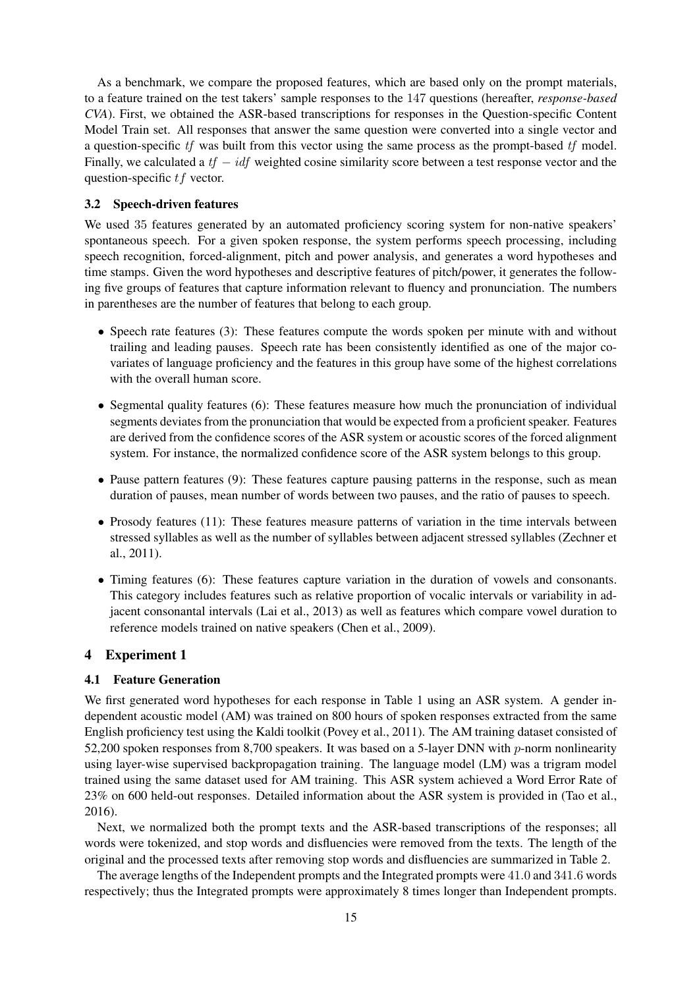As a benchmark, we compare the proposed features, which are based only on the prompt materials, to a feature trained on the test takers' sample responses to the 147 questions (hereafter, *response-based CVA*). First, we obtained the ASR-based transcriptions for responses in the Question-specific Content Model Train set. All responses that answer the same question were converted into a single vector and a question-specific tf was built from this vector using the same process as the prompt-based tf model. Finally, we calculated a  $tf - idf$  weighted cosine similarity score between a test response vector and the question-specific tf vector.

# 3.2 Speech-driven features

We used 35 features generated by an automated proficiency scoring system for non-native speakers' spontaneous speech. For a given spoken response, the system performs speech processing, including speech recognition, forced-alignment, pitch and power analysis, and generates a word hypotheses and time stamps. Given the word hypotheses and descriptive features of pitch/power, it generates the following five groups of features that capture information relevant to fluency and pronunciation. The numbers in parentheses are the number of features that belong to each group.

- Speech rate features (3): These features compute the words spoken per minute with and without trailing and leading pauses. Speech rate has been consistently identified as one of the major covariates of language proficiency and the features in this group have some of the highest correlations with the overall human score.
- Segmental quality features (6): These features measure how much the pronunciation of individual segments deviates from the pronunciation that would be expected from a proficient speaker. Features are derived from the confidence scores of the ASR system or acoustic scores of the forced alignment system. For instance, the normalized confidence score of the ASR system belongs to this group.
- Pause pattern features (9): These features capture pausing patterns in the response, such as mean duration of pauses, mean number of words between two pauses, and the ratio of pauses to speech.
- Prosody features (11): These features measure patterns of variation in the time intervals between stressed syllables as well as the number of syllables between adjacent stressed syllables (Zechner et al., 2011).
- Timing features (6): These features capture variation in the duration of vowels and consonants. This category includes features such as relative proportion of vocalic intervals or variability in adjacent consonantal intervals (Lai et al., 2013) as well as features which compare vowel duration to reference models trained on native speakers (Chen et al., 2009).

# 4 Experiment 1

### 4.1 Feature Generation

We first generated word hypotheses for each response in Table 1 using an ASR system. A gender independent acoustic model (AM) was trained on 800 hours of spoken responses extracted from the same English proficiency test using the Kaldi toolkit (Povey et al., 2011). The AM training dataset consisted of 52,200 spoken responses from 8,700 speakers. It was based on a 5-layer DNN with p-norm nonlinearity using layer-wise supervised backpropagation training. The language model (LM) was a trigram model trained using the same dataset used for AM training. This ASR system achieved a Word Error Rate of 23% on 600 held-out responses. Detailed information about the ASR system is provided in (Tao et al., 2016).

Next, we normalized both the prompt texts and the ASR-based transcriptions of the responses; all words were tokenized, and stop words and disfluencies were removed from the texts. The length of the original and the processed texts after removing stop words and disfluencies are summarized in Table 2.

The average lengths of the Independent prompts and the Integrated prompts were 41.0 and 341.6 words respectively; thus the Integrated prompts were approximately 8 times longer than Independent prompts.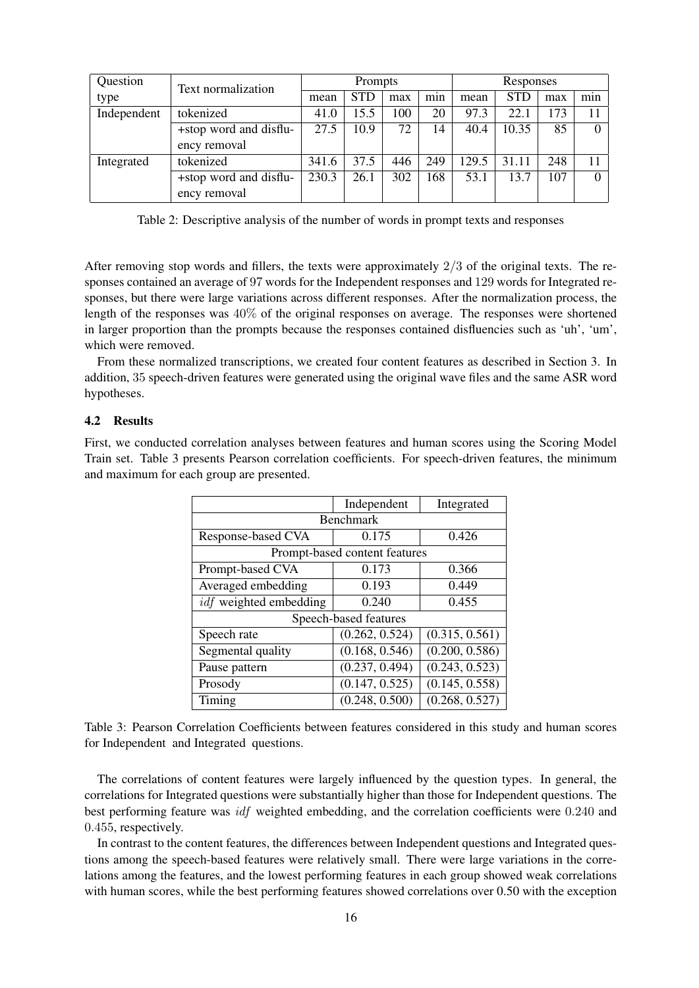| Question    | Text normalization     | Prompts |            |     | Responses        |       |            |     |          |
|-------------|------------------------|---------|------------|-----|------------------|-------|------------|-----|----------|
| type        |                        | mean    | <b>STD</b> | max | $\bullet$<br>min | mean  | <b>STD</b> | max | min      |
| Independent | tokenized              | 41.0    | 15.5       | 100 | 20               | 97.3  | 22.1       | 173 |          |
|             | +stop word and disflu- | 27.5    | 10.9       | 72  | 14               | 40.4  | 10.35      | 85  |          |
|             | ency removal           |         |            |     |                  |       |            |     |          |
| Integrated  | tokenized              | 341.6   | 37.5       | 446 | 249              | 129.5 | 31.11      | 248 |          |
|             | +stop word and disflu- | 230.3   | 26.1       | 302 | 168              | 53.1  | 13.7       | 107 | $\Omega$ |
|             | ency removal           |         |            |     |                  |       |            |     |          |

Table 2: Descriptive analysis of the number of words in prompt texts and responses

After removing stop words and fillers, the texts were approximately 2/3 of the original texts. The responses contained an average of 97 words for the Independent responses and 129 words for Integrated responses, but there were large variations across different responses. After the normalization process, the length of the responses was 40% of the original responses on average. The responses were shortened in larger proportion than the prompts because the responses contained disfluencies such as 'uh', 'um', which were removed.

From these normalized transcriptions, we created four content features as described in Section 3. In addition, 35 speech-driven features were generated using the original wave files and the same ASR word hypotheses.

### 4.2 Results

First, we conducted correlation analyses between features and human scores using the Scoring Model Train set. Table 3 presents Pearson correlation coefficients. For speech-driven features, the minimum and maximum for each group are presented.

|                               | Independent    | Integrated     |  |  |  |  |
|-------------------------------|----------------|----------------|--|--|--|--|
| <b>Benchmark</b>              |                |                |  |  |  |  |
| Response-based CVA            | 0.175          | 0.426          |  |  |  |  |
| Prompt-based content features |                |                |  |  |  |  |
| Prompt-based CVA              | 0.173          | 0.366          |  |  |  |  |
| Averaged embedding            | 0.193          | 0.449          |  |  |  |  |
| <i>idf</i> weighted embedding | 0.240          | 0.455          |  |  |  |  |
| Speech-based features         |                |                |  |  |  |  |
| Speech rate                   | (0.262, 0.524) | (0.315, 0.561) |  |  |  |  |
| Segmental quality             | (0.168, 0.546) | (0.200, 0.586) |  |  |  |  |
| Pause pattern                 | (0.237, 0.494) | (0.243, 0.523) |  |  |  |  |
| Prosody                       | (0.147, 0.525) | (0.145, 0.558) |  |  |  |  |
| Timing                        | (0.248, 0.500) | (0.268, 0.527) |  |  |  |  |

Table 3: Pearson Correlation Coefficients between features considered in this study and human scores for Independent and Integrated questions.

The correlations of content features were largely influenced by the question types. In general, the correlations for Integrated questions were substantially higher than those for Independent questions. The best performing feature was idf weighted embedding, and the correlation coefficients were 0.240 and 0.455, respectively.

In contrast to the content features, the differences between Independent questions and Integrated questions among the speech-based features were relatively small. There were large variations in the correlations among the features, and the lowest performing features in each group showed weak correlations with human scores, while the best performing features showed correlations over 0.50 with the exception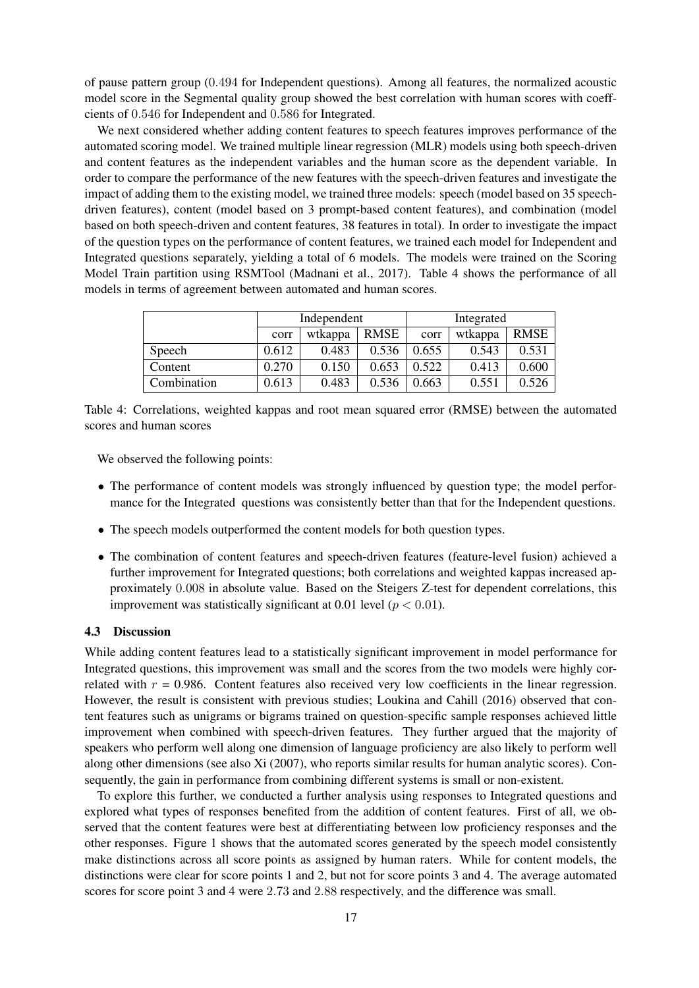of pause pattern group (0.494 for Independent questions). Among all features, the normalized acoustic model score in the Segmental quality group showed the best correlation with human scores with coeffcients of 0.546 for Independent and 0.586 for Integrated.

We next considered whether adding content features to speech features improves performance of the automated scoring model. We trained multiple linear regression (MLR) models using both speech-driven and content features as the independent variables and the human score as the dependent variable. In order to compare the performance of the new features with the speech-driven features and investigate the impact of adding them to the existing model, we trained three models: speech (model based on 35 speechdriven features), content (model based on 3 prompt-based content features), and combination (model based on both speech-driven and content features, 38 features in total). In order to investigate the impact of the question types on the performance of content features, we trained each model for Independent and Integrated questions separately, yielding a total of 6 models. The models were trained on the Scoring Model Train partition using RSMTool (Madnani et al., 2017). Table 4 shows the performance of all models in terms of agreement between automated and human scores.

|             |       | Independent |             | Integrated |         |             |
|-------------|-------|-------------|-------------|------------|---------|-------------|
|             | corr  | wtkappa     | <b>RMSE</b> | corr       | wtkappa | <b>RMSE</b> |
| Speech      | 0.612 | 0.483       | 0.536       | 0.655      | 0.543   | 0.531       |
| Content     | 0.270 | 0.150       | 0.653       | 0.522      | 0.413   | 0.600       |
| Combination | 0.613 | 0.483       | 0.536       | 0.663      | 0.551   | 0.526       |

Table 4: Correlations, weighted kappas and root mean squared error (RMSE) between the automated scores and human scores

We observed the following points:

- The performance of content models was strongly influenced by question type; the model performance for the Integrated questions was consistently better than that for the Independent questions.
- The speech models outperformed the content models for both question types.
- The combination of content features and speech-driven features (feature-level fusion) achieved a further improvement for Integrated questions; both correlations and weighted kappas increased approximately 0.008 in absolute value. Based on the Steigers Z-test for dependent correlations, this improvement was statistically significant at 0.01 level ( $p < 0.01$ ).

#### 4.3 Discussion

While adding content features lead to a statistically significant improvement in model performance for Integrated questions, this improvement was small and the scores from the two models were highly correlated with  $r = 0.986$ . Content features also received very low coefficients in the linear regression. However, the result is consistent with previous studies; Loukina and Cahill (2016) observed that content features such as unigrams or bigrams trained on question-specific sample responses achieved little improvement when combined with speech-driven features. They further argued that the majority of speakers who perform well along one dimension of language proficiency are also likely to perform well along other dimensions (see also Xi (2007), who reports similar results for human analytic scores). Consequently, the gain in performance from combining different systems is small or non-existent.

To explore this further, we conducted a further analysis using responses to Integrated questions and explored what types of responses benefited from the addition of content features. First of all, we observed that the content features were best at differentiating between low proficiency responses and the other responses. Figure 1 shows that the automated scores generated by the speech model consistently make distinctions across all score points as assigned by human raters. While for content models, the distinctions were clear for score points 1 and 2, but not for score points 3 and 4. The average automated scores for score point 3 and 4 were 2.73 and 2.88 respectively, and the difference was small.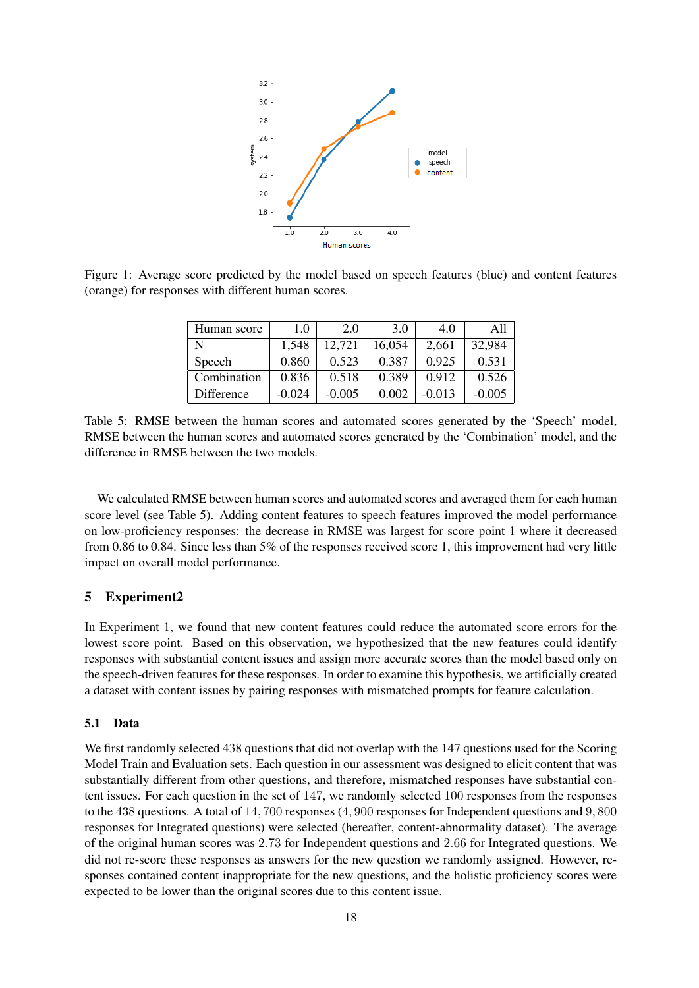

Figure 1: Average score predicted by the model based on speech features (blue) and content features (orange) for responses with different human scores.

| Human score | 1.0      | 2.0      | 3.0    | 4.0      | All      |
|-------------|----------|----------|--------|----------|----------|
| N           | 1,548    | 12,721   | 16,054 | 2,661    | 32,984   |
| Speech      | 0.860    | 0.523    | 0.387  | 0.925    | 0.531    |
| Combination | 0.836    | 0.518    | 0.389  | 0.912    | 0.526    |
| Difference  | $-0.024$ | $-0.005$ | 0.002  | $-0.013$ | $-0.005$ |

Table 5: RMSE between the human scores and automated scores generated by the 'Speech' model, RMSE between the human scores and automated scores generated by the 'Combination' model, and the difference in RMSE between the two models.

We calculated RMSE between human scores and automated scores and averaged them for each human score level (see Table 5). Adding content features to speech features improved the model performance on low-proficiency responses: the decrease in RMSE was largest for score point 1 where it decreased from 0.86 to 0.84. Since less than 5% of the responses received score 1, this improvement had very little impact on overall model performance.

# 5 Experiment2

In Experiment 1, we found that new content features could reduce the automated score errors for the lowest score point. Based on this observation, we hypothesized that the new features could identify responses with substantial content issues and assign more accurate scores than the model based only on the speech-driven features for these responses. In order to examine this hypothesis, we artificially created a dataset with content issues by pairing responses with mismatched prompts for feature calculation.

# 5.1 Data

We first randomly selected 438 questions that did not overlap with the 147 questions used for the Scoring Model Train and Evaluation sets. Each question in our assessment was designed to elicit content that was substantially different from other questions, and therefore, mismatched responses have substantial content issues. For each question in the set of 147, we randomly selected 100 responses from the responses to the 438 questions. A total of 14, 700 responses (4, 900 responses for Independent questions and 9, 800 responses for Integrated questions) were selected (hereafter, content-abnormality dataset). The average of the original human scores was 2.73 for Independent questions and 2.66 for Integrated questions. We did not re-score these responses as answers for the new question we randomly assigned. However, responses contained content inappropriate for the new questions, and the holistic proficiency scores were expected to be lower than the original scores due to this content issue.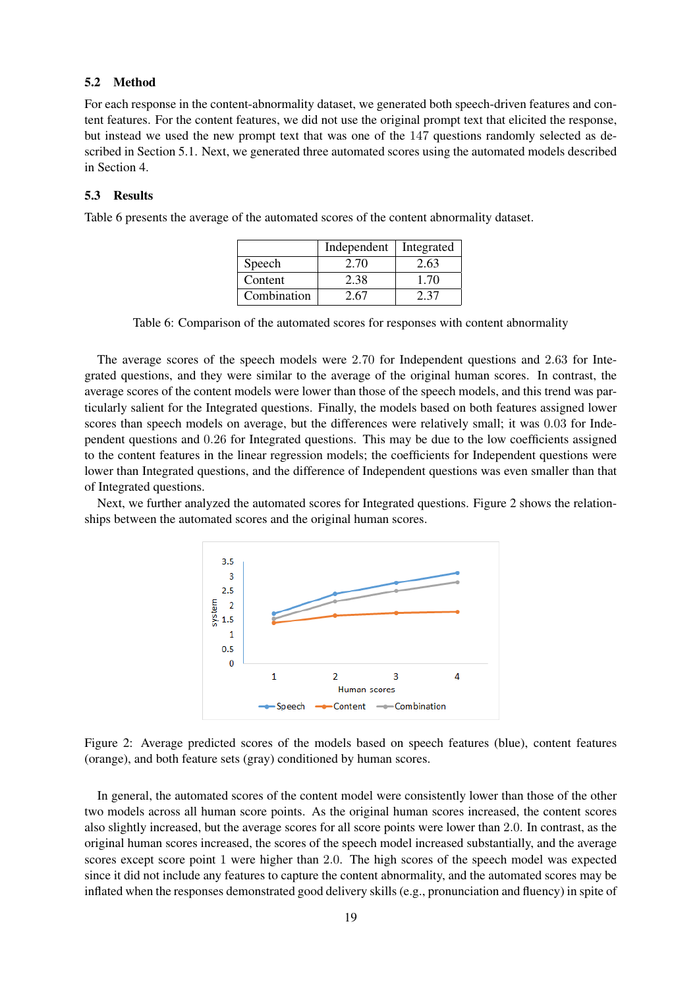### 5.2 Method

For each response in the content-abnormality dataset, we generated both speech-driven features and content features. For the content features, we did not use the original prompt text that elicited the response, but instead we used the new prompt text that was one of the 147 questions randomly selected as described in Section 5.1. Next, we generated three automated scores using the automated models described in Section 4.

### 5.3 Results

Table 6 presents the average of the automated scores of the content abnormality dataset.

|             | Independent | Integrated |
|-------------|-------------|------------|
| Speech      | 2.70        | 2.63       |
| Content     | 2.38        | 1.70       |
| Combination | 2.67        | 2.37       |

Table 6: Comparison of the automated scores for responses with content abnormality

The average scores of the speech models were 2.70 for Independent questions and 2.63 for Integrated questions, and they were similar to the average of the original human scores. In contrast, the average scores of the content models were lower than those of the speech models, and this trend was particularly salient for the Integrated questions. Finally, the models based on both features assigned lower scores than speech models on average, but the differences were relatively small; it was 0.03 for Independent questions and 0.26 for Integrated questions. This may be due to the low coefficients assigned to the content features in the linear regression models; the coefficients for Independent questions were lower than Integrated questions, and the difference of Independent questions was even smaller than that of Integrated questions.

Next, we further analyzed the automated scores for Integrated questions. Figure 2 shows the relationships between the automated scores and the original human scores.



Figure 2: Average predicted scores of the models based on speech features (blue), content features (orange), and both feature sets (gray) conditioned by human scores.

In general, the automated scores of the content model were consistently lower than those of the other two models across all human score points. As the original human scores increased, the content scores also slightly increased, but the average scores for all score points were lower than 2.0. In contrast, as the original human scores increased, the scores of the speech model increased substantially, and the average scores except score point 1 were higher than 2.0. The high scores of the speech model was expected since it did not include any features to capture the content abnormality, and the automated scores may be inflated when the responses demonstrated good delivery skills (e.g., pronunciation and fluency) in spite of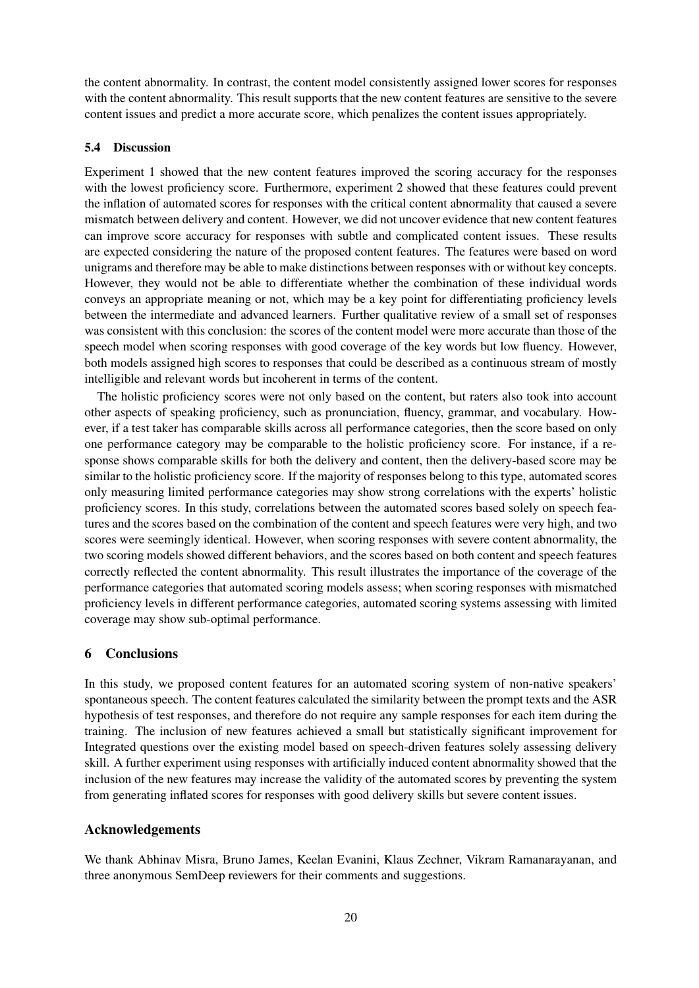the content abnormality. In contrast, the content model consistently assigned lower scores for responses with the content abnormality. This result supports that the new content features are sensitive to the severe content issues and predict a more accurate score, which penalizes the content issues appropriately.

# 5.4 Discussion

Experiment 1 showed that the new content features improved the scoring accuracy for the responses with the lowest proficiency score. Furthermore, experiment 2 showed that these features could prevent the inflation of automated scores for responses with the critical content abnormality that caused a severe mismatch between delivery and content. However, we did not uncover evidence that new content features can improve score accuracy for responses with subtle and complicated content issues. These results are expected considering the nature of the proposed content features. The features were based on word unigrams and therefore may be able to make distinctions between responses with or without key concepts. However, they would not be able to differentiate whether the combination of these individual words conveys an appropriate meaning or not, which may be a key point for differentiating proficiency levels between the intermediate and advanced learners. Further qualitative review of a small set of responses was consistent with this conclusion: the scores of the content model were more accurate than those of the speech model when scoring responses with good coverage of the key words but low fluency. However, both models assigned high scores to responses that could be described as a continuous stream of mostly intelligible and relevant words but incoherent in terms of the content.

The holistic proficiency scores were not only based on the content, but raters also took into account other aspects of speaking proficiency, such as pronunciation, fluency, grammar, and vocabulary. However, if a test taker has comparable skills across all performance categories, then the score based on only one performance category may be comparable to the holistic proficiency score. For instance, if a response shows comparable skills for both the delivery and content, then the delivery-based score may be similar to the holistic proficiency score. If the majority of responses belong to this type, automated scores only measuring limited performance categories may show strong correlations with the experts' holistic proficiency scores. In this study, correlations between the automated scores based solely on speech features and the scores based on the combination of the content and speech features were very high, and two scores were seemingly identical. However, when scoring responses with severe content abnormality, the two scoring models showed different behaviors, and the scores based on both content and speech features correctly reflected the content abnormality. This result illustrates the importance of the coverage of the performance categories that automated scoring models assess; when scoring responses with mismatched proficiency levels in different performance categories, automated scoring systems assessing with limited coverage may show sub-optimal performance.

# 6 Conclusions

In this study, we proposed content features for an automated scoring system of non-native speakers' spontaneous speech. The content features calculated the similarity between the prompt texts and the ASR hypothesis of test responses, and therefore do not require any sample responses for each item during the training. The inclusion of new features achieved a small but statistically significant improvement for Integrated questions over the existing model based on speech-driven features solely assessing delivery skill. A further experiment using responses with artificially induced content abnormality showed that the inclusion of the new features may increase the validity of the automated scores by preventing the system from generating inflated scores for responses with good delivery skills but severe content issues.

# Acknowledgements

We thank Abhinav Misra, Bruno James, Keelan Evanini, Klaus Zechner, Vikram Ramanarayanan, and three anonymous SemDeep reviewers for their comments and suggestions.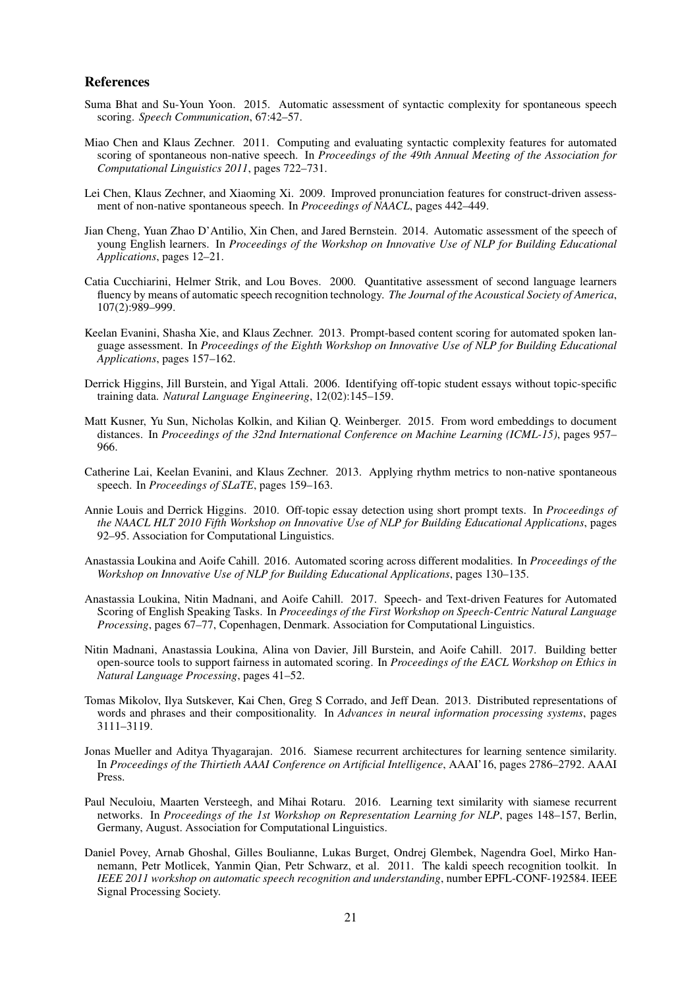### References

- Suma Bhat and Su-Youn Yoon. 2015. Automatic assessment of syntactic complexity for spontaneous speech scoring. *Speech Communication*, 67:42–57.
- Miao Chen and Klaus Zechner. 2011. Computing and evaluating syntactic complexity features for automated scoring of spontaneous non-native speech. In *Proceedings of the 49th Annual Meeting of the Association for Computational Linguistics 2011*, pages 722–731.
- Lei Chen, Klaus Zechner, and Xiaoming Xi. 2009. Improved pronunciation features for construct-driven assessment of non-native spontaneous speech. In *Proceedings of NAACL*, pages 442–449.
- Jian Cheng, Yuan Zhao D'Antilio, Xin Chen, and Jared Bernstein. 2014. Automatic assessment of the speech of young English learners. In *Proceedings of the Workshop on Innovative Use of NLP for Building Educational Applications*, pages 12–21.
- Catia Cucchiarini, Helmer Strik, and Lou Boves. 2000. Quantitative assessment of second language learners fluency by means of automatic speech recognition technology. *The Journal of the Acoustical Society of America*, 107(2):989–999.
- Keelan Evanini, Shasha Xie, and Klaus Zechner. 2013. Prompt-based content scoring for automated spoken language assessment. In *Proceedings of the Eighth Workshop on Innovative Use of NLP for Building Educational Applications*, pages 157–162.
- Derrick Higgins, Jill Burstein, and Yigal Attali. 2006. Identifying off-topic student essays without topic-specific training data. *Natural Language Engineering*, 12(02):145–159.
- Matt Kusner, Yu Sun, Nicholas Kolkin, and Kilian Q. Weinberger. 2015. From word embeddings to document distances. In *Proceedings of the 32nd International Conference on Machine Learning (ICML-15)*, pages 957– 966.
- Catherine Lai, Keelan Evanini, and Klaus Zechner. 2013. Applying rhythm metrics to non-native spontaneous speech. In *Proceedings of SLaTE*, pages 159–163.
- Annie Louis and Derrick Higgins. 2010. Off-topic essay detection using short prompt texts. In *Proceedings of the NAACL HLT 2010 Fifth Workshop on Innovative Use of NLP for Building Educational Applications*, pages 92–95. Association for Computational Linguistics.
- Anastassia Loukina and Aoife Cahill. 2016. Automated scoring across different modalities. In *Proceedings of the Workshop on Innovative Use of NLP for Building Educational Applications*, pages 130–135.
- Anastassia Loukina, Nitin Madnani, and Aoife Cahill. 2017. Speech- and Text-driven Features for Automated Scoring of English Speaking Tasks. In *Proceedings of the First Workshop on Speech-Centric Natural Language Processing*, pages 67–77, Copenhagen, Denmark. Association for Computational Linguistics.
- Nitin Madnani, Anastassia Loukina, Alina von Davier, Jill Burstein, and Aoife Cahill. 2017. Building better open-source tools to support fairness in automated scoring. In *Proceedings of the EACL Workshop on Ethics in Natural Language Processing*, pages 41–52.
- Tomas Mikolov, Ilya Sutskever, Kai Chen, Greg S Corrado, and Jeff Dean. 2013. Distributed representations of words and phrases and their compositionality. In *Advances in neural information processing systems*, pages 3111–3119.
- Jonas Mueller and Aditya Thyagarajan. 2016. Siamese recurrent architectures for learning sentence similarity. In *Proceedings of the Thirtieth AAAI Conference on Artificial Intelligence*, AAAI'16, pages 2786–2792. AAAI Press.
- Paul Neculoiu, Maarten Versteegh, and Mihai Rotaru. 2016. Learning text similarity with siamese recurrent networks. In *Proceedings of the 1st Workshop on Representation Learning for NLP*, pages 148–157, Berlin, Germany, August. Association for Computational Linguistics.
- Daniel Povey, Arnab Ghoshal, Gilles Boulianne, Lukas Burget, Ondrej Glembek, Nagendra Goel, Mirko Hannemann, Petr Motlicek, Yanmin Qian, Petr Schwarz, et al. 2011. The kaldi speech recognition toolkit. In *IEEE 2011 workshop on automatic speech recognition and understanding*, number EPFL-CONF-192584. IEEE Signal Processing Society.